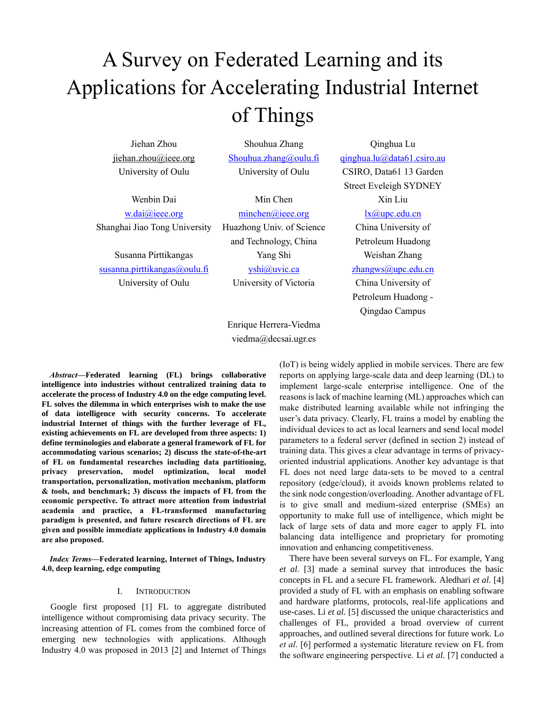# A Survey on Federated Learning and its Applications for Accelerating Industrial Internet of Things

Jiehan Zhou [jiehan.zhou@ieee.org](mailto:jiehan.zhou@ieee.org) University of Oulu

Shouhua Zhang [Shouhua.zhang@oulu.fi](mailto:Shouhua.zhang@oulu.fi) University of Oulu

Wenbin Dai [w.dai@ieee.org](mailto:w.dai@ieee.org) Shanghai Jiao Tong University

Susanna Pirttikangas [susanna.pirttikangas@oulu.fi](mailto:susanna.pirttikangas@oulu.fi) University of Oulu

Min Chen [minchen@ieee.org](mailto:minchen@ieee.org) Huazhong Univ. of Science and Technology, China Yang Shi [yshi@uvic.ca](mailto:yshi@uvic.ca) University of Victoria

Qinghua Lu [qinghua.lu@data61.csiro.au](mailto:qinghua.lu@data61.csiro.au) CSIRO, Data61 13 Garden Street Eveleigh SYDNEY Xin Liu [lx@upc.edu.cn](mailto:lx@upc.edu.cn) China University of Petroleum Huadong

> Weishan Zhang [zhangws@upc.edu.cn](mailto:zhangws@upc.edu.cn) China University of Petroleum Huadong -

> > Qingdao Campus

Enrique Herrera-Viedma viedma@decsai.ugr.es

*Abstract***—Federated learning (FL) brings collaborative intelligence into industries without centralized training data to accelerate the process of Industry 4.0 on the edge computing level. FL solves the dilemma in which enterprises wish to make the use of data intelligence with security concerns. To accelerate industrial Internet of things with the further leverage of FL, existing achievements on FL are developed from three aspects: 1) define terminologies and elaborate a general framework of FL for accommodating various scenarios; 2) discuss the state-of-the-art of FL on fundamental researches including data partitioning, privacy preservation, model optimization, local model transportation, personalization, motivation mechanism, platform & tools, and benchmark; 3) discuss the impacts of FL from the economic perspective. To attract more attention from industrial academia and practice, a FL-transformed manufacturing paradigm is presented, and future research directions of FL are given and possible immediate applications in Industry 4.0 domain are also proposed.** 

*Index Terms***—Federated learning, Internet of Things, Industry 4.0, deep learning, edge computing**

# I. INTRODUCTION

Google first proposed [\[1\]](#page-9-0) FL to aggregate distributed intelligence without compromising data privacy security. The increasing attention of FL comes from the combined force of emerging new technologies with applications. Although Industry 4.0 was proposed in 2013 [\[2\]](#page-9-1) and Internet of Things (IoT) is being widely applied in mobile services. There are few reports on applying large-scale data and deep learning (DL) to implement large-scale enterprise intelligence. One of the reasons is lack of machine learning (ML) approaches which can make distributed learning available while not infringing the user's data privacy. Clearly, FL trains a model by enabling the individual devices to act as local learners and send local model parameters to a federal server (defined in section 2) instead of training data. This gives a clear advantage in terms of privacyoriented industrial applications. Another key advantage is that FL does not need large data-sets to be moved to a central repository (edge/cloud), it avoids known problems related to the sink node congestion/overloading. Another advantage of FL is to give small and medium-sized enterprise (SMEs) an opportunity to make full use of intelligence, which might be lack of large sets of data and more eager to apply FL into balancing data intelligence and proprietary for promoting innovation and enhancing competitiveness.

There have been several surveys on FL. For example, Yang *et al.* [\[3\]](#page-9-2) made a seminal survey that introduces the basic concepts in FL and a secure FL framework. Aledhari *et al.* [\[4\]](#page-9-3) provided a study of FL with an emphasis on enabling software and hardware platforms, protocols, real-life applications and use-cases. Li *et al.* [\[5\]](#page-10-0) discussed the unique characteristics and challenges of FL, provided a broad overview of current approaches, and outlined several directions for future work. Lo *et al*. [\[6\]](#page-10-1) performed a systematic literature review on FL from the software engineering perspective. Li *et al.* [\[7\]](#page-10-2) conducted a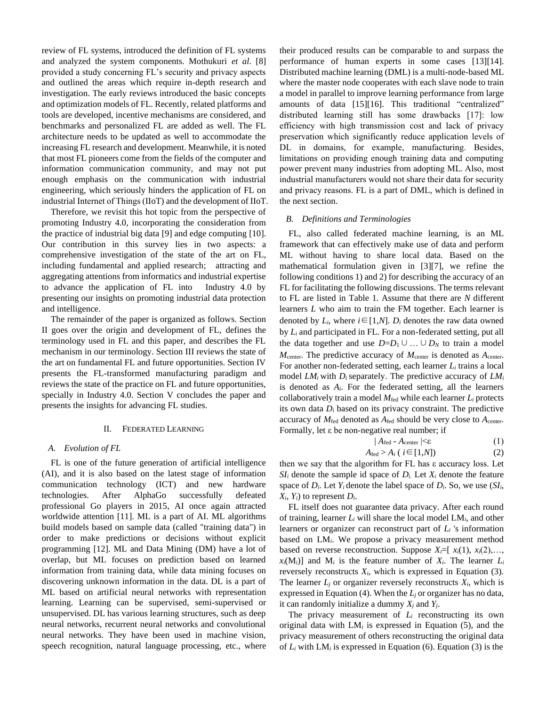review of FL systems, introduced the definition of FL systems and analyzed the system components. Mothukuri *et al.* [\[8\]](#page-10-3) provided a study concerning FL's security and privacy aspects and outlined the areas which require in-depth research and investigation. The early reviews introduced the basic concepts and optimization models of FL. Recently, related platforms and tools are developed, incentive mechanisms are considered, and benchmarks and personalized FL are added as well. The FL architecture needs to be updated as well to accommodate the increasing FL research and development. Meanwhile, it is noted that most FL pioneers come from the fields of the computer and information communication community, and may not put enough emphasis on the communication with industrial engineering, which seriously hinders the application of FL on industrial Internet of Things (IIoT) and the development of IIoT.

Therefore, we revisit this hot topic from the perspective of promoting Industry 4.0, incorporating the consideration from the practice of industrial big data [\[9\]](#page-10-4) and edge computing [\[10\].](#page-10-5) Our contribution in this survey lies in two aspects: a comprehensive investigation of the state of the art on FL, including fundamental and applied research; attracting and aggregating attentions from informatics and industrial expertise to advance the application of FL into Industry 4.0 by presenting our insights on promoting industrial data protection and intelligence.

The remainder of the paper is organized as follows. Section II goes over the origin and development of FL, defines the terminology used in FL and this paper, and describes the FL mechanism in our terminology. Section III reviews the state of the art on fundamental FL and future opportunities. Section IV presents the FL-transformed manufacturing paradigm and reviews the state of the practice on FL and future opportunities, specially in Industry 4.0. Section V concludes the paper and presents the insights for advancing FL studies.

## II. FEDERATED LEARNING

#### *A. Evolution of FL*

FL is one of the future generation of artificial intelligence (AI), and it is also based on the latest stage of information communication technology (ICT) and new hardware technologies. After AlphaGo successfully defeated professional Go players in 2015, AI once again attracted worldwide attention [\[11\].](#page-10-6) ML is a part of AI. ML algorithms build models based on sample data (called "training data") in order to make predictions or decisions without explicit programming [\[12\].](#page-10-7) ML and Data Mining (DM) have a lot of overlap, but ML focuses on prediction based on learned information from training data, while data mining focuses on discovering unknown information in the data. DL is a part of ML based on artificial neural networks with representation learning. Learning can be supervised, semi-supervised or unsupervised. DL has various learning structures, such as deep neural networks, recurrent neural networks and convolutional neural networks. They have been used in machine vision, speech recognition, natural language processing, etc., where

their produced results can be comparable to and surpass the performance of human experts in some cases [\[13\]](#page-10-8)[\[14\].](#page-10-9) Distributed machine learning (DML) is a multi-node-based ML where the master node cooperates with each slave node to train a model in parallel to improve learning performance from large amounts of data [\[15\]](#page-10-10)[\[16\].](#page-10-11) This traditional "centralized" distributed learning still has some drawbacks [\[17\]:](#page-10-12) low efficiency with high transmission cost and lack of privacy preservation which significantly reduce application levels of DL in domains, for example, manufacturing. Besides, limitations on providing enough training data and computing power prevent many industries from adopting ML. Also, most industrial manufacturers would not share their data for security and privacy reasons. FL is a part of DML, which is defined in the next section.

#### *B. Definitions and Terminologies*

FL, also called federated machine learning, is an ML framework that can effectively make use of data and perform ML without having to share local data. Based on the mathematical formulation given in [\[3\]](#page-9-2)[\[7\],](#page-10-2) we refine the following conditions 1) and 2) for describing the accuracy of an FL for facilitating the following discussions. The terms relevant to FL are listed in Table 1. Assume that there are *N* different learners *L* who aim to train the FM together. Each learner is denoted by  $L_i$ , where  $i \in [1,N]$ .  $D_i$  denotes the raw data owned by *L<sup>i</sup>* and participated in FL. For a non-federated setting, put all the data together and use  $D=D_1\cup ... \cup D_N$  to train a model *M*<sub>center</sub>. The predictive accuracy of *M*<sub>center</sub> is denoted as *A*<sub>center</sub>. For another non-federated setting, each learner *L<sup>i</sup>* trains a local model  $LM_i$  with  $D_i$  separately. The predictive accuracy of  $LM_i$ is denoted as  $A_i$ . For the federated setting, all the learners collaboratively train a model  $M_{\text{fed}}$  while each learner  $L_i$  protects its own data  $D_i$  based on its privacy constraint. The predictive accuracy of  $M_{\text{fed}}$  denoted as  $A_{\text{fed}}$  should be very close to  $A_{\text{center}}$ . Formally, let ε be non-negative real number; if

$$
|A_{\text{fed}} - A_{\text{center}}| \leq \varepsilon \tag{1}
$$

$$
A_{\text{fed}} > A_i \left( i \in [1, N] \right) \tag{2}
$$

then we say that the algorithm for FL has ε accuracy loss. Let  $SI_i$  denote the sample id space of  $D_i$ . Let  $X_i$  denote the feature space of  $D_i$ . Let  $Y_i$  denote the label space of  $D_i$ . So, we use  $(SI_i)$ ,  $X_i$ ,  $Y_i$ ) to represent  $D_i$ .

FL itself does not guarantee data privacy. After each round of training, learner *L<sup>i</sup>* will share the local model LM*i*, and other learners or organizer can reconstruct part of *L<sup>i</sup>* 's information based on LM*i*. We propose a privacy measurement method based on reverse reconstruction. Suppose  $X_i = [x_i(1), x_i(2), \ldots]$  $x_i(M_i)$  and  $M_i$  is the feature number of  $X_i$ . The learner  $L_i$ reversely reconstructs  $X_i$ , which is expressed in Equation (3). The learner  $L_j$  or organizer reversely reconstructs  $X_i$ , which is expressed in Equation (4). When the *L<sup>j</sup>* or organizer has no data, it can randomly initialize a dummy *X<sup>j</sup>* and *Yj*.

The privacy measurement of  $L_i$  reconstructing its own original data with LM*<sup>i</sup>* is expressed in Equation (5), and the privacy measurement of others reconstructing the original data of  $L_i$  with  $LM_i$  is expressed in Equation (6). Equation (3) is the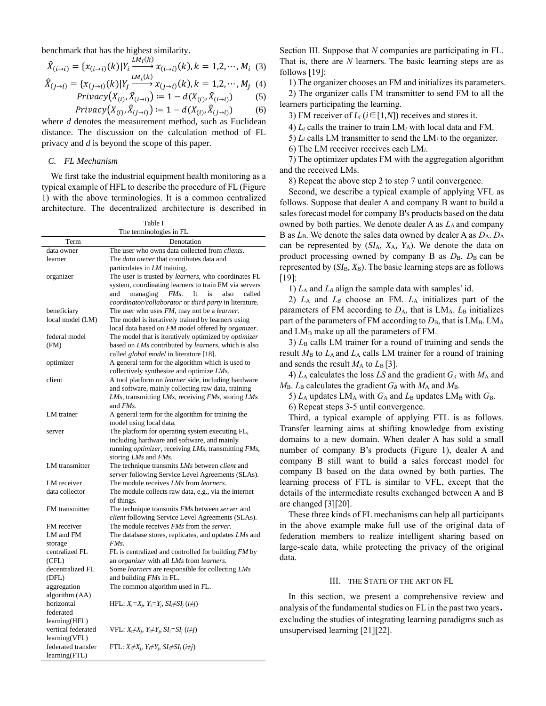benchmark that has the highest similarity.

$$
\hat{X}_{(i\to i)} = \{x_{(i\to i)}(k)|Y_i \xrightarrow{LM_i(k)} x_{(i\to i)}(k), k = 1, 2, \cdots, M_i \tag{3}
$$

$$
\hat{X}_{(j\rightarrow i)} = \{x_{(j\rightarrow i)}(k)|Y_j \xrightarrow{L M_1(k)} x_{(j\rightarrow i)}(k), k = 1,2,\cdots,M_j \ (4)
$$

$$
Privacy(X_{(i)}, \hat{X}_{(i \to i)}) \coloneqq 1 - d(X_{(i)}, \hat{X}_{(i \to i)}) \tag{5}
$$

$$
Pri\text{vacy}(X_{(i)}, \hat{X}_{(j \to i)}) \coloneqq 1 - d(X_{(i)}, \hat{X}_{(j \to i)}) \tag{6}
$$

where *d* denotes the measurement method, such as Euclidean distance. The discussion on the calculation method of FL privacy and *d* is beyond the scope of this paper.

# *C. FL Mechanism*

We first take the industrial equipment health monitoring as a typical example of HFL to describe the procedure of FL (Figure 1) with the above terminologies. It is a common centralized architecture. The decentralized architecture is described in

> Table I The terminologies in FL

|                           | $\frac{1}{2}$                                                                                         |
|---------------------------|-------------------------------------------------------------------------------------------------------|
| Term                      | Denotation                                                                                            |
| data owner                | The user who owns data collected from clients.                                                        |
| learner                   | The <i>data owner</i> that contributes data and                                                       |
|                           | particulates in LM training.                                                                          |
| organizer                 | The user is trusted by <i>learners</i> , who coordinates FL                                           |
|                           | system, coordinating learners to train FM via servers                                                 |
|                           | FMs.<br>and<br>managing<br>It<br>is<br>also<br>called                                                 |
|                           | coordinator/collaborator or third party in literature.                                                |
| beneficiary               | The user who uses FM, may not be a <i>learner</i> .                                                   |
| local model (LM)          | The model is iteratively trained by learners using                                                    |
|                           | local data based on FM model offered by organizer.                                                    |
| federal model             | The model that is iteratively optimized by optimizer                                                  |
|                           |                                                                                                       |
| (FM)                      | based on LMs contributed by learners, which is also<br>called <i>global model</i> in literature [18]. |
| optimizer                 | A general term for the algorithm which is used to                                                     |
|                           | collectively synthesize and optimize LMs.                                                             |
| client                    | A tool platform on <i>learner</i> side, including hardware                                            |
|                           | and software, mainly collecting raw data, training                                                    |
|                           | LMs, transmitting LMs, receiving FMs, storing LMs                                                     |
|                           | and <i>FMs</i> .                                                                                      |
| LM trainer                | A general term for the algorithm for training the                                                     |
|                           | model using local data.                                                                               |
| server                    | The platform for operating system executing FL,                                                       |
|                           | including hardware and software, and mainly                                                           |
|                           | running optimizer, receiving LMs, transmitting FMs,                                                   |
|                           | storing LMs and FMs.                                                                                  |
| LM transmitter            | The technique transmits LMs between client and                                                        |
|                           | server following Service Level Agreements (SLAs).                                                     |
| LM receiver               | The module receives LMs from learners.                                                                |
| data collector            | The module collects raw data, e.g., via the internet                                                  |
|                           | of things.                                                                                            |
| FM transmitter            | The technique transmits <i>FMs</i> between <i>server</i> and                                          |
|                           | client following Service Level Agreements (SLAs).                                                     |
| FM receiver               | The module receives <i>FMs</i> from the <i>server</i> .                                               |
| LM and FM                 | The database stores, replicates, and updates LMs and                                                  |
|                           | FMs.                                                                                                  |
| storage<br>centralized FL | FL is centralized and controlled for building FM by                                                   |
|                           | an <i>organizer</i> with all LMs from learners.                                                       |
| (CFL)                     |                                                                                                       |
| decentralized FL          | Some <i>learners</i> are responsible for collecting LMs                                               |
| (DFL)                     | and building <i>FMs</i> in FL.                                                                        |
| aggregation               | The common algorithm used in FL.                                                                      |
| algorithm (AA)            |                                                                                                       |
| horizontal                | HFL: $X_i = X_i$ , $Y_i = Y_i$ , $SI_i \neq SI_i$ ( $i \neq j$ )                                      |
| federated                 |                                                                                                       |
| learning(HFL)             |                                                                                                       |
| vertical federated        | VFL: $X_i \neq X_j$ , $Y_i \neq Y_j$ , $SI_i = SI_j$ ( $i \neq j$ )                                   |
| learning(VFL)             |                                                                                                       |
| federated transfer        | FTL: $X_i \neq X_j$ , $Y_i \neq Y_j$ , $SI_i \neq SI_j$ ( $i \neq j$ )                                |
| learning(FTL)             |                                                                                                       |

Section III. Suppose that *N* companies are participating in FL. That is, there are *N* learners. The basic learning steps are as follows [\[19\]:](#page-10-13)

1) The organizer chooses an FM and initializes its parameters.

2) The organizer calls FM transmitter to send FM to all the learners participating the learning.

3) FM receiver of  $L_i$  ( $i \in [1,N]$ ) receives and stores it.

4) *L<sup>i</sup>* calls the trainer to train LM*<sup>i</sup>* with local data and FM.

5)  $L_i$  calls LM transmitter to send the LM $_i$  to the organizer.

6) The LM receiver receives each LM*i*.

7) The optimizer updates FM with the aggregation algorithm and the received LMs.

8) Repeat the above step 2 to step 7 until convergence.

Second, we describe a typical example of applying VFL as follows. Suppose that dealer A and company B want to build a sales forecast model for company B's products based on the data owned by both parties. We denote dealer A as  $L_A$  and company B as  $L_B$ . We denote the sales data owned by dealer A as  $D_A$ .  $D_A$ can be represented by (*SI*A, *X*A, *Y*A). We denote the data on product processing owned by company B as  $D_B$ .  $D_B$  can be represented by  $(SI_B, X_B)$ . The basic learning steps are as follows [\[19\]:](#page-10-13)

1)  $L_A$  and  $L_B$  align the sample data with samples' id.

2) *L*<sup>A</sup> and *L<sup>B</sup>* choose an FM. *L*<sup>A</sup> initializes part of the parameters of FM according to  $D_A$ , that is LMA.  $L_B$  initializes part of the parameters of FM according to  $D_{\rm B}$ , that is  $\rm LM_B$ . LM<sub>A</sub> and  $LM_B$  make up all the parameters of FM.

3)  $L<sub>B</sub>$  calls LM trainer for a round of training and sends the result *M*<sup>B</sup> to *L*A and *L*<sup>A</sup> calls LM trainer for a round of training and sends the result  $M_A$  to  $L_B$  [\[3\].](#page-9-2)

4)  $L_A$  calculates the loss  $LS$  and the gradient  $G_A$  with  $M_A$  and  $M_{\rm B}$ .  $L_{\rm B}$  calculates the gradient  $G_B$  with  $M_{\rm A}$  and  $M_{\rm B}$ .

5)  $L_A$  updates  $LM_A$  with  $G_A$  and  $L_B$  updates  $LM_B$  with  $G_B$ .

6) Repeat steps 3-5 until convergence.

Third, a typical example of applying FTL is as follows. Transfer learning aims at shifting knowledge from existing domains to a new domain. When dealer A has sold a small number of company B's products (Figure 1), dealer A and company B still want to build a sales forecast model for company B based on the data owned by both parties. The learning process of FTL is similar to VFL, except that the details of the intermediate results exchanged between A and B are changed [\[3\]](#page-9-2)[\[20\].](#page-10-14)

These three kinds of FL mechanisms can help all participants in the above example make full use of the original data of federation members to realize intelligent sharing based on large-scale data, while protecting the privacy of the original data.

## III. THE STATE OF THE ART ON FL

In this section, we present a comprehensive review and analysis of the fundamental studies on FL in the past two years, excluding the studies of integrating learning paradigms such as unsupervised learning [\[21\]](#page-10-15)[\[22\].](#page-10-16)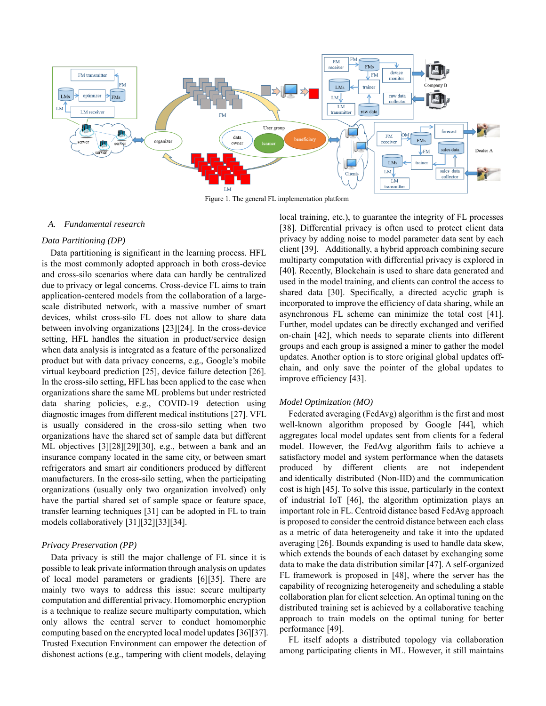

Figure 1. The general FL implementation platform

#### *A. Fundamental research*

#### *Data Partitioning (DP)*

Data partitioning is significant in the learning process. HFL is the most commonly adopted approach in both cross-device and cross-silo scenarios where data can hardly be centralized due to privacy or legal concerns. Cross-device FL aims to train application-centered models from the collaboration of a largescale distributed network, with a massive number of smart devices, whilst cross-silo FL does not allow to share data between involving organizations [\[23\]](#page-10-18)[\[24\].](#page-10-19) In the cross-device setting, HFL handles the situation in product/service design when data analysis is integrated as a feature of the personalized product but with data privacy concerns, e.g., Google's mobile virtual keyboard prediction [\[25\],](#page-10-20) device failure detection [\[26\].](#page-10-21) In the cross-silo setting, HFL has been applied to the case when organizations share the same ML problems but under restricted data sharing policies, e.g., COVID-19 detection using diagnostic images from different medical institutions [\[27\].](#page-10-22) VFL is usually considered in the cross-silo setting when two organizations have the shared set of sample data but different ML objectives [\[3\]](#page-9-2)[\[28\]](#page-10-23)[\[29\]](#page-10-24)[\[30\],](#page-10-25) e.g., between a bank and an insurance company located in the same city, or between smart refrigerators and smart air conditioners produced by different manufacturers. In the cross-silo setting, when the participating organizations (usually only two organization involved) only have the partial shared set of sample space or feature space, transfer learning techniques [\[31\]](#page-10-26) can be adopted in FL to train models collaborativel[y \[31\]](#page-10-26)[\[32\]](#page-10-27)[\[33\]](#page-10-28)[\[34\].](#page-10-29)

#### *Privacy Preservation (PP)*

Data privacy is still the major challenge of FL since it is possible to leak private information through analysis on updates of local model parameters or gradients [\[6\]](#page-10-1)[\[35\].](#page-10-30) There are mainly two ways to address this issue: secure multiparty computation and differential privacy. Homomorphic encryption is a technique to realize secure multiparty computation, which only allows the central server to conduct homomorphic computing based on the encrypted local model update[s \[36\]](#page-10-31)[\[37\].](#page-10-32) Trusted Execution Environment can empower the detection of dishonest actions (e.g., tampering with client models, delaying

local training, etc.), to guarantee the integrity of FL processes [\[38\].](#page-10-33) Differential privacy is often used to protect client data privacy by adding noise to model parameter data sent by each client [\[39\].](#page-10-34) Additionally, a hybrid approach combining secure multiparty computation with differential privacy is explored in [\[40\].](#page-10-35) Recently, Blockchain is used to share data generated and used in the model training, and clients can control the access to shared data [\[30\].](#page-10-25) Specifically, a directed acyclic graph is incorporated to improve the efficiency of data sharing, while an asynchronous FL scheme can minimize the total cost [\[41\].](#page-10-36) Further, model updates can be directly exchanged and verified on-chain [\[42\],](#page-10-37) which needs to separate clients into different groups and each group is assigned a miner to gather the model updates. Another option is to store original global updates offchain, and only save the pointer of the global updates to improve efficienc[y \[43\].](#page-10-38)

#### *Model Optimization (MO)*

Federated averaging (FedAvg) algorithm is the first and most well-known algorithm proposed by Google [\[44\],](#page-10-39) which aggregates local model updates sent from clients for a federal model. However, the FedAvg algorithm fails to achieve a satisfactory model and system performance when the datasets produced by different clients are not independent and identically distributed (Non-IID) and the communication cost is high [\[45\].](#page-10-40) To solve this issue, particularly in the context of industrial IoT [\[46\],](#page-10-41) the algorithm optimization plays an important role in FL. Centroid distance based FedAvg approach is proposed to consider the centroid distance between each class as a metric of data heterogeneity and take it into the updated averagin[g \[26\].](#page-10-21) Bounds expanding is used to handle data skew, which extends the bounds of each dataset by exchanging some data to make the data distribution simila[r \[47\].](#page-10-42) A self-organized FL framework is proposed in [\[48\],](#page-10-43) where the server has the capability of recognizing heterogeneity and scheduling a stable collaboration plan for client selection. An optimal tuning on the distributed training set is achieved by a collaborative teaching approach to train models on the optimal tuning for better performanc[e \[49\].](#page-10-44)

FL itself adopts a distributed topology via collaboration among participating clients in ML. However, it still maintains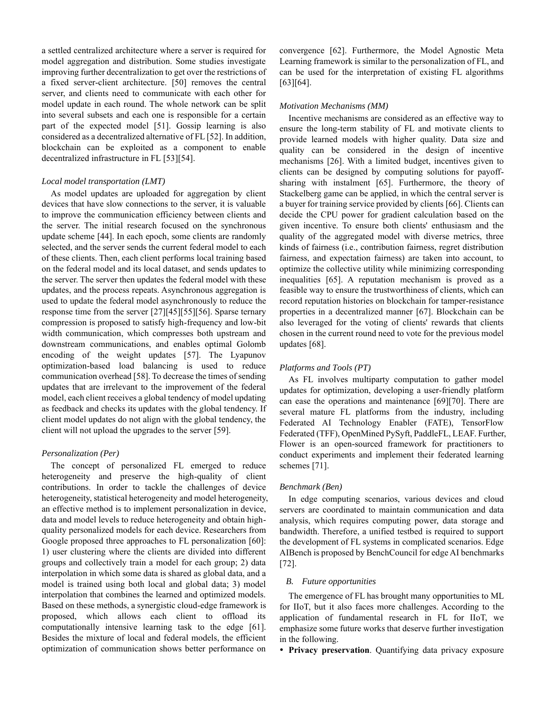a settled centralized architecture where a server is required for model aggregation and distribution. Some studies investigate improving further decentralization to get over the restrictions of a fixed server-client architecture. [\[50\]](#page-10-45) removes the central server, and clients need to communicate with each other for model update in each round. The whole network can be split into several subsets and each one is responsible for a certain part of the expected model [\[51\].](#page-10-46) Gossip learning is also considered as a decentralized alternative of F[L \[52\].](#page-11-0) In addition, blockchain can be exploited as a component to enable decentralized infrastructure in FL [\[53\]](#page-11-1)[\[54\].](#page-11-2)

## *Local model transportation (LMT)*

As model updates are uploaded for aggregation by client devices that have slow connections to the server, it is valuable to improve the communication efficiency between clients and the server. The initial research focused on the synchronous update scheme [\[44\].](#page-10-39) In each epoch, some clients are randomly selected, and the server sends the current federal model to each of these clients. Then, each client performs local training based on the federal model and its local dataset, and sends updates to the server. The server then updates the federal model with these updates, and the process repeats. Asynchronous aggregation is used to update the federal model asynchronously to reduce the response time from the server [\[27\]](#page-10-22)[\[45\]](#page-10-40)[\[55\]](#page-11-3)[\[56\].](#page-11-4) Sparse ternary compression is proposed to satisfy high-frequency and low-bit width communication, which compresses both upstream and downstream communications, and enables optimal Golomb encoding of the weight updates [\[57\].](#page-11-5) The Lyapunov optimization-based load balancing is used to reduce communication overhea[d \[58\].](#page-11-6) To decrease the times of sending updates that are irrelevant to the improvement of the federal model, each client receives a global tendency of model updating as feedback and checks its updates with the global tendency. If client model updates do not align with the global tendency, the client will not upload the upgrades to the server [\[59\].](#page-11-7)

## *Personalization (Per)*

The concept of personalized FL emerged to reduce heterogeneity and preserve the high-quality of client contributions. In order to tackle the challenges of device heterogeneity, statistical heterogeneity and model heterogeneity, an effective method is to implement personalization in device, data and model levels to reduce heterogeneity and obtain highquality personalized models for each device. Researchers from Google proposed three approaches to FL personalization [\[60\]:](#page-11-8) 1) user clustering where the clients are divided into different groups and collectively train a model for each group; 2) data interpolation in which some data is shared as global data, and a model is trained using both local and global data; 3) model interpolation that combines the learned and optimized models. Based on these methods, a synergistic cloud-edge framework is proposed, which allows each client to offload its computationally intensive learning task to the edge [\[61\].](#page-11-9) Besides the mixture of local and federal models, the efficient optimization of communication shows better performance on

convergence [\[62\].](#page-11-10) Furthermore, the Model Agnostic Meta Learning framework is similar to the personalization of FL, and can be used for the interpretation of existing FL algorithms [\[63\]](#page-11-11)[\[64\].](#page-11-12)

#### *Motivation Mechanisms (MM)*

Incentive mechanisms are considered as an effective way to ensure the long-term stability of FL and motivate clients to provide learned models with higher quality. Data size and quality can be considered in the design of incentive mechanisms [\[26\].](#page-10-21) With a limited budget, incentives given to clients can be designed by computing solutions for payoffsharing with instalment [\[65\].](#page-11-13) Furthermore, the theory of Stackelberg game can be applied, in which the central server is a buyer for training service provided by clients [\[66\].](#page-11-14) Clients can decide the CPU power for gradient calculation based on the given incentive. To ensure both clients' enthusiasm and the quality of the aggregated model with diverse metrics, three kinds of fairness (i.e., contribution fairness, regret distribution fairness, and expectation fairness) are taken into account, to optimize the collective utility while minimizing corresponding inequalities [\[65\].](#page-11-13) A reputation mechanism is proved as a feasible way to ensure the trustworthiness of clients, which can record reputation histories on blockchain for tamper-resistance properties in a decentralized manner [\[67\].](#page-11-15) Blockchain can be also leveraged for the voting of clients' rewards that clients chosen in the current round need to vote for the previous model update[s \[68\].](#page-11-16)

#### *Platforms and Tools (PT)*

As FL involves multiparty computation to gather model updates for optimization, developing a user-friendly platform can ease the operations and maintenance [\[69\]](#page-11-17)[\[70\].](#page-11-18) There are several mature FL platforms from the industry, including Federated AI Technology Enabler (FATE), TensorFlow Federated (TFF), OpenMined PySyft, PaddleFL, LEAF. Further, Flower is an open-sourced framework for practitioners to conduct experiments and implement their federated learning schemes [\[71\].](#page-11-19)

#### *Benchmark (Ben)*

In edge computing scenarios, various devices and cloud servers are coordinated to maintain communication and data analysis, which requires computing power, data storage and bandwidth. Therefore, a unified testbed is required to support the development of FL systems in complicated scenarios. Edge AIBench is proposed by BenchCouncil for edge AI benchmarks [\[72\].](#page-11-20)

#### *B. Future opportunities*

The emergence of FL has brought many opportunities to ML for IIoT, but it also faces more challenges. According to the application of fundamental research in FL for IIoT, we emphasize some future works that deserve further investigation in the following.

**Privacy preservation**. Quantifying data privacy exposure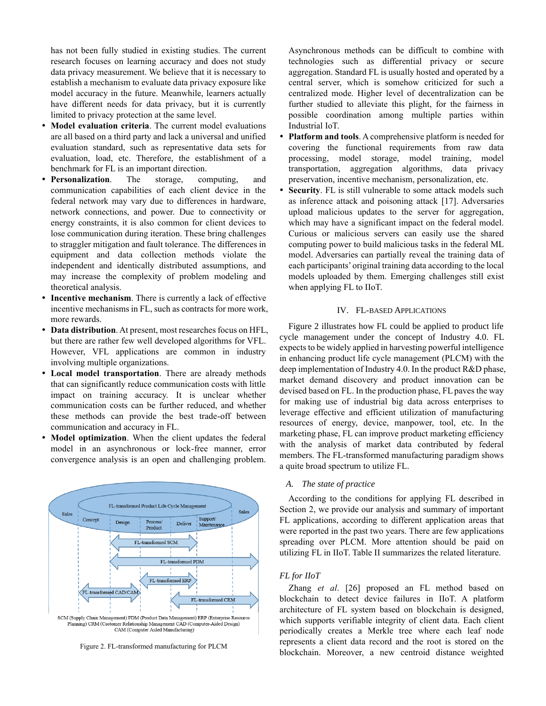has not been fully studied in existing studies. The current research focuses on learning accuracy and does not study data privacy measurement. We believe that it is necessary to establish a mechanism to evaluate data privacy exposure like model accuracy in the future. Meanwhile, learners actually have different needs for data privacy, but it is currently limited to privacy protection at the same level.

- **Model evaluation criteria**. The current model evaluations are all based on a third party and lack a universal and unified evaluation standard, such as representative data sets for evaluation, load, etc. Therefore, the establishment of a benchmark for FL is an important direction.
- **Personalization**. The storage, computing, and communication capabilities of each client device in the federal network may vary due to differences in hardware, network connections, and power. Due to connectivity or energy constraints, it is also common for client devices to lose communication during iteration. These bring challenges to straggler mitigation and fault tolerance. The differences in equipment and data collection methods violate the independent and identically distributed assumptions, and may increase the complexity of problem modeling and theoretical analysis.
- **Incentive mechanism**. There is currently a lack of effective incentive mechanisms in FL, such as contracts for more work, more rewards.
- **Data distribution**. At present, most researches focus on HFL, but there are rather few well developed algorithms for VFL. However, VFL applications are common in industry involving multiple organizations.
- **Local model transportation**. There are already methods that can significantly reduce communication costs with little impact on training accuracy. It is unclear whether communication costs can be further reduced, and whether these methods can provide the best trade-off between communication and accuracy in FL.
- **Model optimization**. When the client updates the federal model in an asynchronous or lock-free manner, error convergence analysis is an open and challenging problem.



Figure 2. FL-transformed manufacturing for PLCM

Asynchronous methods can be difficult to combine with technologies such as differential privacy or secure aggregation. Standard FL is usually hosted and operated by a central server, which is somehow criticized for such a centralized mode. Higher level of decentralization can be further studied to alleviate this plight, for the fairness in possible coordination among multiple parties within Industrial IoT.

- **Platform and tools**. A comprehensive platform is needed for covering the functional requirements from raw data processing, model storage, model training, model transportation, aggregation algorithms, data privacy preservation, incentive mechanism, personalization, etc.
- **Security**. FL is still vulnerable to some attack models such as inference attack and poisoning attack [\[17\].](#page-10-12) Adversaries upload malicious updates to the server for aggregation, which may have a significant impact on the federal model. Curious or malicious servers can easily use the shared computing power to build malicious tasks in the federal ML model. Adversaries can partially reveal the training data of each participants' original training data according to the local models uploaded by them. Emerging challenges still exist when applying FL to IIoT.

## IV. FL-BASED APPLICATIONS

Figure 2 illustrates how FL could be applied to product life cycle management under the concept of Industry 4.0. FL expects to be widely applied in harvesting powerful intelligence in enhancing product life cycle management (PLCM) with the deep implementation of Industry 4.0. In the product R&D phase, market demand discovery and product innovation can be devised based on FL. In the production phase, FL paves the way for making use of industrial big data across enterprises to leverage effective and efficient utilization of manufacturing resources of energy, device, manpower, tool, etc. In the marketing phase, FL can improve product marketing efficiency with the analysis of market data contributed by federal members. The FL-transformed manufacturing paradigm shows a quite broad spectrum to utilize FL.

# *A. The state of practice*

According to the conditions for applying FL described in Section 2, we provide our analysis and summary of important FL applications, according to different application areas that were reported in the past two years. There are few applications spreading over PLCM. More attention should be paid on utilizing FL in IIoT. Table II summarizes the related literature.

## *FL for IIoT*

Zhang *et al*. [\[26\]](#page-10-21) proposed an FL method based on blockchain to detect device failures in IIoT. A platform architecture of FL system based on blockchain is designed, which supports verifiable integrity of client data. Each client periodically creates a Merkle tree where each leaf node represents a client data record and the root is stored on the blockchain. Moreover, a new centroid distance weighted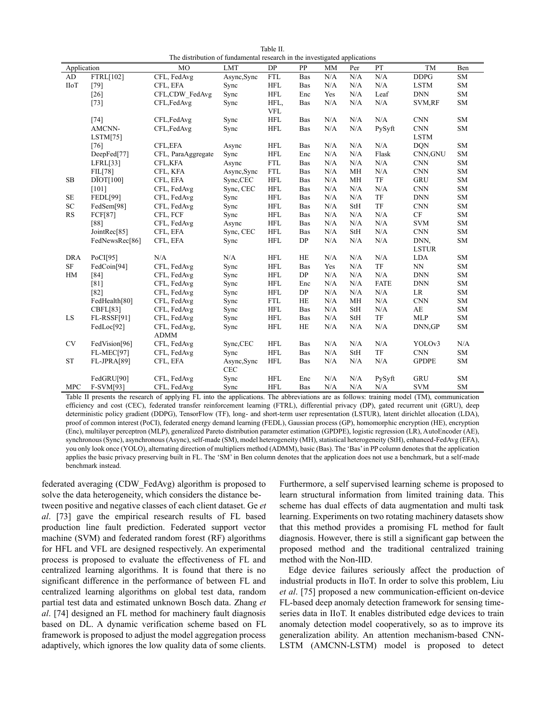|                                                                           | Table II. |  |
|---------------------------------------------------------------------------|-----------|--|
| The distribution of fundamental research in the investigated applications |           |  |

| Application |                    | <b>MO</b>          | <b>LMT</b>  | DP                   | PP         | MM        | $\mathbf{F}$ and $\mathbf{F}$ are proportional and $\mathbf{F}$<br>Per | PT          | TM                          | Ben        |
|-------------|--------------------|--------------------|-------------|----------------------|------------|-----------|------------------------------------------------------------------------|-------------|-----------------------------|------------|
| AD          | FTRL[102]          | CFL, FedAvg        | Async, Sync | <b>FTL</b>           | Bas        | N/A       | N/A                                                                    | N/A         | DDPG                        | <b>SM</b>  |
| <b>IIoT</b> | $[79]$             | CFL, EFA           | Sync        | <b>HFL</b>           | Bas        | N/A       | N/A                                                                    | N/A         | <b>LSTM</b>                 | SM         |
|             | $[26]$             | CFL,CDW FedAvg     | Sync        | <b>HFL</b>           | Enc        | Yes       | N/A                                                                    | Leaf        | <b>DNN</b>                  | <b>SM</b>  |
|             | $[73]$             | CFL,FedAvg         | Sync        | HFL,                 | Bas        | N/A       | N/A                                                                    | N/A         | SVM,RF                      | ${\rm SM}$ |
|             |                    |                    |             | <b>VFL</b>           |            |           |                                                                        |             |                             |            |
|             | $[74]$             | CFL, FedAvg        | Sync        | <b>HFL</b>           | Bas        | N/A       | N/A                                                                    | N/A         | <b>CNN</b>                  | <b>SM</b>  |
|             | AMCNN-             | CFL, FedAvg        | Sync        | <b>HFL</b>           | Bas        | N/A       | N/A                                                                    | PySyft      | <b>CNN</b>                  | <b>SM</b>  |
|             | LSTM[75]           |                    |             |                      |            |           |                                                                        |             | <b>LSTM</b>                 |            |
|             | [76]               | CFL, EFA           | Async       | <b>HFL</b>           | Bas        | N/A       | N/A                                                                    | N/A         | <b>DQN</b>                  | SM         |
|             | DeepFed[77]        | CFL, ParaAggregate | Sync        | <b>HFL</b>           | Enc        | N/A       | N/A                                                                    | Flask       | CNN, GNU                    | <b>SM</b>  |
|             | LFRL[33]           | <b>CFL,KFA</b>     | Async       | ${\hbox{FTL}}$       | Bas        | N/A       | N/A                                                                    | N/A         | <b>CNN</b>                  | <b>SM</b>  |
|             | FIL[78]            | CFL, KFA           | Async, Sync | <b>FTL</b>           | Bas        | N/A       | MH                                                                     | N/A         | <b>CNN</b>                  | SM         |
| $\rm SB$    | DIOT[100]          | CFL, EFA           | Sync,CEC    | $\operatorname{HFL}$ | Bas        | $\rm N/A$ | MH                                                                     | TF          | GRU                         | ${\rm SM}$ |
|             | $[101]$            | CFL, FedAvg        | Sync, CEC   | <b>HFL</b>           | Bas        | N/A       | N/A                                                                    | N/A         | $\mathop{\rm CNN}\nolimits$ | <b>SM</b>  |
| <b>SE</b>   | <b>FEDL[99]</b>    | CFL, FedAvg        | Sync        | <b>HFL</b>           | Bas        | N/A       | N/A                                                                    | TF          | <b>DNN</b>                  | <b>SM</b>  |
| SC          | FedSem[98]         | CFL, FedAvg        | Sync        | <b>HFL</b>           | Bas        | N/A       | <b>StH</b>                                                             | TF          | <b>CNN</b>                  | ${\rm SM}$ |
| RS          | <b>FCF[87]</b>     | CFL, FCF           | Sync        | $\operatorname{HFL}$ | Bas        | N/A       | N/A                                                                    | N/A         | $\rm CF$                    | ${\rm SM}$ |
|             | [88]               | CFL, FedAvg        | Async       | <b>HFL</b>           | Bas        | N/A       | N/A                                                                    | N/A         | <b>SVM</b>                  | <b>SM</b>  |
|             | JointRec[85]       | CFL, EFA           | Sync, CEC   | <b>HFL</b>           | <b>Bas</b> | N/A       | <b>StH</b>                                                             | N/A         | <b>CNN</b>                  | <b>SM</b>  |
|             | FedNewsRec[86]     | CFL, EFA           | Sync        | <b>HFL</b>           | DP         | N/A       | N/A                                                                    | N/A         | DNN,                        | ${\rm SM}$ |
|             |                    |                    |             |                      |            |           |                                                                        |             | <b>LSTUR</b>                |            |
| <b>DRA</b>  | PoCI[95]           | N/A                | N/A         | <b>HFL</b>           | HE         | N/A       | N/A                                                                    | N/A         | <b>LDA</b>                  | SM         |
| <b>SF</b>   | FedCoin[94]        | CFL, FedAvg        | Sync        | <b>HFL</b>           | Bas        | Yes       | N/A                                                                    | TF          | NN                          | <b>SM</b>  |
| HM          | [84]               | CFL, FedAvg        | Sync        | <b>HFL</b>           | DP         | N/A       | N/A                                                                    | N/A         | <b>DNN</b>                  | <b>SM</b>  |
|             | [81]               | CFL, FedAvg        | Sync        | $\operatorname{HFL}$ | Enc        | N/A       | N/A                                                                    | <b>FATE</b> | <b>DNN</b>                  | SM         |
|             | $[82]$             | CFL, FedAvg        | Sync        | $\operatorname{HFL}$ | DP         | N/A       | N/A                                                                    | N/A         | LR                          | ${\rm SM}$ |
|             | FedHealth[80]      | CFL, FedAvg        | Sync        | <b>FTL</b>           | <b>HE</b>  | N/A       | MH                                                                     | N/A         | <b>CNN</b>                  | SM         |
|             | CBFL[83]           | CFL, FedAvg        | Sync        | $\operatorname{HFL}$ | Bas        | N/A       | <b>StH</b>                                                             | N/A         | $\mathbf{A}\mathbf{E}$      | SM         |
| ${\rm LS}$  | <b>FL-RSSF[91]</b> | CFL, FedAvg        | Sync        | $\operatorname{HFL}$ | Bas        | $\rm N/A$ | <b>StH</b>                                                             | TF          | <b>MLP</b>                  | SM         |
|             | FedLoc[92]         | CFL, FedAvg,       | Sync        | <b>HFL</b>           | HE         | N/A       | N/A                                                                    | N/A         | DNN, GP                     | SM         |
|             |                    | <b>ADMM</b>        |             |                      |            |           |                                                                        |             |                             |            |
| <b>CV</b>   | FedVision[96]      | CFL, FedAvg        | Sync,CEC    | <b>HFL</b>           | Bas        | N/A       | N/A                                                                    | N/A         | YOLOv3                      | N/A        |
|             | <b>FL-MEC[97]</b>  | CFL, FedAvg        | Sync        | <b>HFL</b>           | <b>Bas</b> | N/A       | <b>StH</b>                                                             | TF          | <b>CNN</b>                  | SM         |
| <b>ST</b>   | FL-JPRA[89]        | CFL, EFA           | Async, Sync | <b>HFL</b>           | Bas        | N/A       | N/A                                                                    | N/A         | <b>GPDPE</b>                | ${\rm SM}$ |
|             |                    |                    | <b>CEC</b>  |                      |            |           |                                                                        |             |                             |            |
|             | FedGRU[90]         | CFL, FedAvg        | Sync        | <b>HFL</b>           | Enc        | N/A       | N/A                                                                    | PySyft      | GRU                         | <b>SM</b>  |
| <b>MPC</b>  | F-SVM[93]          | CFL, FedAvg        | Sync        | <b>HFL</b>           | <b>Bas</b> | N/A       | N/A                                                                    | N/A         | <b>SVM</b>                  | <b>SM</b>  |

Table II presents the research of applying FL into the applications. The abbreviations are as follows: training model (TM), communication efficiency and cost (CEC), federated transfer reinforcement learning (FTRL), differential privacy (DP), gated recurrent unit (GRU), deep deterministic policy gradient (DDPG), TensorFlow (TF), long- and short-term user representation (LSTUR), latent dirichlet allocation (LDA), proof of common interest (PoCI), federated energy demand learning (FEDL), Gaussian process (GP), homomorphic encryption (HE), encryption (Enc), multilayer perceptron (MLP), generalized Pareto distribution parameter estimation (GPDPE), logistic regression (LR), AutoEncoder (AE), synchronous (Sync), asynchronous (Async), self-made (SM), model heterogeneity (MH), statistical heterogeneity (StH), enhanced-FedAvg (EFA), you only look once (YOLO), alternating direction of multipliers method (ADMM), basic (Bas). The 'Bas' in PP column denotes that the application applies the basic privacy preserving built in FL. The 'SM' in Ben column denotes that the application does not use a benchmark, but a self-made benchmark instead.

federated averaging (CDW\_FedAvg) algorithm is proposed to solve the data heterogeneity, which considers the distance between positive and negative classes of each client dataset. Ge *et al*. [\[73\]](#page-11-21) gave the empirical research results of FL based production line fault prediction. Federated support vector machine (SVM) and federated random forest (RF) algorithms for HFL and VFL are designed respectively. An experimental process is proposed to evaluate the effectiveness of FL and centralized learning algorithms. It is found that there is no significant difference in the performance of between FL and centralized learning algorithms on global test data, random partial test data and estimated unknown Bosch data. Zhang *et al*. [\[74\]](#page-11-22) designed an FL method for machinery fault diagnosis based on DL. A dynamic verification scheme based on FL framework is proposed to adjust the model aggregation process adaptively, which ignores the low quality data of some clients.

Furthermore, a self supervised learning scheme is proposed to learn structural information from limited training data. This scheme has dual effects of data augmentation and multi task learning. Experiments on two rotating machinery datasets show that this method provides a promising FL method for fault diagnosis. However, there is still a significant gap between the proposed method and the traditional centralized training method with the Non-IID.

Edge device failures seriously affect the production of industrial products in IIoT. In order to solve this problem, Liu *et al*. [\[75\]](#page-11-23) proposed a new communication-efficient on-device FL-based deep anomaly detection framework for sensing timeseries data in IIoT. It enables distributed edge devices to train anomaly detection model cooperatively, so as to improve its generalization ability. An attention mechanism-based CNN-LSTM (AMCNN-LSTM) model is proposed to detect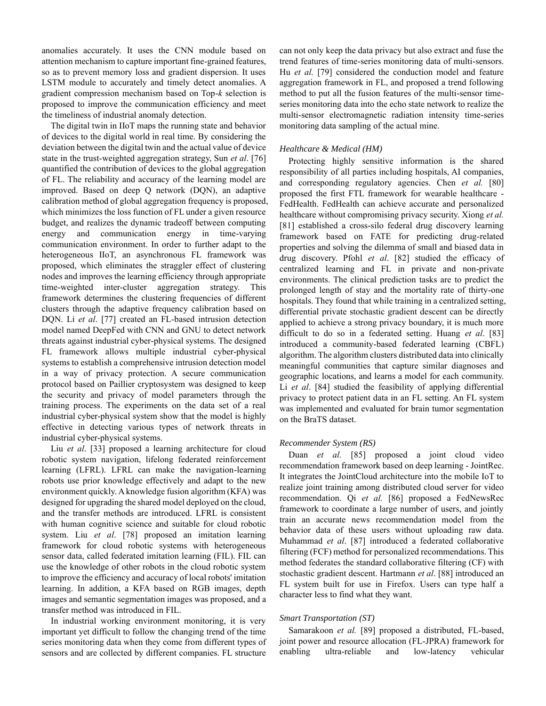anomalies accurately. It uses the CNN module based on attention mechanism to capture important fine-grained features, so as to prevent memory loss and gradient dispersion. It uses LSTM module to accurately and timely detect anomalies. A gradient compression mechanism based on Top-*k* selection is proposed to improve the communication efficiency and meet the timeliness of industrial anomaly detection.

The digital twin in IIoT maps the running state and behavior of devices to the digital world in real time. By considering the deviation between the digital twin and the actual value of device state in the trust-weighted aggregation strategy, Sun *et al*. [\[76\]](#page-11-25) quantified the contribution of devices to the global aggregation of FL. The reliability and accuracy of the learning model are improved. Based on deep Q network (DQN), an adaptive calibration method of global aggregation frequency is proposed, which minimizes the loss function of FL under a given resource budget, and realizes the dynamic tradeoff between computing energy and communication energy in time-varying communication environment. In order to further adapt to the heterogeneous IIoT, an asynchronous FL framework was proposed, which eliminates the straggler effect of clustering nodes and improves the learning efficiency through appropriate time-weighted inter-cluster aggregation strategy. This framework determines the clustering frequencies of different clusters through the adaptive frequency calibration based on DQN. Li *et al*. [\[77\]](#page-11-26) created an FL-based intrusion detection model named DeepFed with CNN and GNU to detect network threats against industrial cyber-physical systems. The designed FL framework allows multiple industrial cyber-physical systems to establish a comprehensive intrusion detection model in a way of privacy protection. A secure communication protocol based on Paillier cryptosystem was designed to keep the security and privacy of model parameters through the training process. The experiments on the data set of a real industrial cyber-physical system show that the model is highly effective in detecting various types of network threats in industrial cyber-physical systems.

Liu *et al*. [\[33\]](#page-10-28) proposed a learning architecture for cloud robotic system navigation, lifelong federated reinforcement learning (LFRL). LFRL can make the navigation-learning robots use prior knowledge effectively and adapt to the new environment quickly. A knowledge fusion algorithm (KFA) was designed for upgrading the shared model deployed on the cloud, and the transfer methods are introduced. LFRL is consistent with human cognitive science and suitable for cloud robotic system. Liu *et al*. [\[78\]](#page-11-27) proposed an imitation learning framework for cloud robotic systems with heterogeneous sensor data, called federated imitation learning (FIL). FIL can use the knowledge of other robots in the cloud robotic system to improve the efficiency and accuracy of local robots' imitation learning. In addition, a KFA based on RGB images, depth images and semantic segmentation images was proposed, and a transfer method was introduced in FIL.

In industrial working environment monitoring, it is very important yet difficult to follow the changing trend of the time series monitoring data when they come from different types of sensors and are collected by different companies. FL structure can not only keep the data privacy but also extract and fuse the trend features of time-series monitoring data of multi-sensors. Hu *et al.* [\[79\]](#page-11-24) considered the conduction model and feature aggregation framework in FL, and proposed a trend following method to put all the fusion features of the multi-sensor timeseries monitoring data into the echo state network to realize the multi-sensor electromagnetic radiation intensity time-series monitoring data sampling of the actual mine.

## *Healthcare & Medical (HM)*

Protecting highly sensitive information is the shared responsibility of all parties including hospitals, AI companies, and corresponding regulatory agencies. Chen *et al.* [\[80\]](#page-11-37) proposed the first FTL framework for wearable healthcare - FedHealth. FedHealth can achieve accurate and personalized healthcare without compromising privacy security. Xiong *et al.* [\[81\]](#page-11-35) established a cross-silo federal drug discovery learning framework based on FATE for predicting drug-related properties and solving the dilemma of small and biased data in drug discovery. Pfohl *et al*. [\[82\]](#page-11-36) studied the efficacy of centralized learning and FL in private and non-private environments. The clinical prediction tasks are to predict the prolonged length of stay and the mortality rate of thirty-one hospitals. They found that while training in a centralized setting, differential private stochastic gradient descent can be directly applied to achieve a strong privacy boundary, it is much more difficult to do so in a federated setting. Huang *et al*. [\[83\]](#page-11-38) introduced a community-based federated learning (CBFL) algorithm. The algorithm clusters distributed data into clinically meaningful communities that capture similar diagnoses and geographic locations, and learns a model for each community. Li *et al*. [\[84\]](#page-11-34) studied the feasibility of applying differential privacy to protect patient data in an FL setting. An FL system was implemented and evaluated for brain tumor segmentation on the BraTS dataset.

# *Recommender System (RS)*

Duan *et al.* [\[85\]](#page-11-30) proposed a joint cloud video recommendation framework based on deep learning - JointRec. It integrates the JointCloud architecture into the mobile IoT to realize joint training among distributed cloud server for video recommendation. Qi *et al.* [\[86\]](#page-11-31) proposed a FedNewsRec framework to coordinate a large number of users, and jointly train an accurate news recommendation model from the behavior data of these users without uploading raw data. Muhammad *et al*. [\[87\]](#page-11-28) introduced a federated collaborative filtering (FCF) method for personalized recommendations. This method federates the standard collaborative filtering (CF) with stochastic gradient descent. Hartmann *et al*. [\[88\]](#page-11-29) introduced an FL system built for use in Firefox. Users can type half a character less to find what they want.

#### *Smart Transportation (ST)*

Samarakoon *et al.* [\[89\]](#page-11-42) proposed a distributed, FL-based, joint power and resource allocation (FL-JPRA) framework for enabling ultra-reliable and low-latency vehicular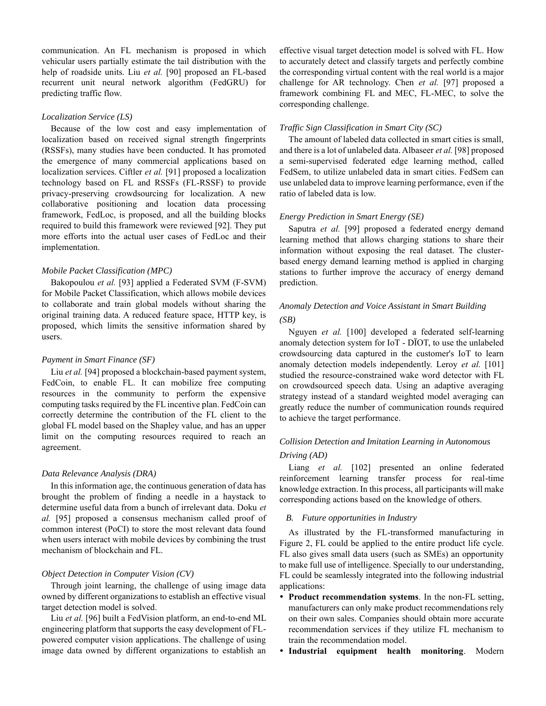communication. An FL mechanism is proposed in which vehicular users partially estimate the tail distribution with the help of roadside units. Liu et al. [\[90\]](#page-11-43) proposed an FL-based recurrent unit neural network algorithm (FedGRU) for predicting traffic flow.

## *Localization Service (LS)*

Because of the low cost and easy implementation of localization based on received signal strength fingerprints (RSSFs), many studies have been conducted. It has promoted the emergence of many commercial applications based on localization services. Ciftler *et al.* [\[91\]](#page-11-39) proposed a localization technology based on FL and RSSFs (FL-RSSF) to provide privacy-preserving crowdsourcing for localization. A new collaborative positioning and location data processing framework, FedLoc, is proposed, and all the building blocks required to build this framework were reviewed [\[92\].](#page-11-40) They put more efforts into the actual user cases of FedLoc and their implementation.

# *Mobile Packet Classification (MPC)*

Bakopoulou *et al.* [\[93\]](#page-11-44) applied a Federated SVM (F-SVM) for Mobile Packet Classification, which allows mobile devices to collaborate and train global models without sharing the original training data. A reduced feature space, HTTP key, is proposed, which limits the sensitive information shared by users.

#### *Payment in Smart Finance (SF)*

Liu *et al.* [\[94\]](#page-11-33) proposed a blockchain-based payment system, FedCoin, to enable FL. It can mobilize free computing resources in the community to perform the expensive computing tasks required by the FL incentive plan. FedCoin can correctly determine the contribution of the FL client to the global FL model based on the Shapley value, and has an upper limit on the computing resources required to reach an agreement.

# *Data Relevance Analysis (DRA)*

In this information age, the continuous generation of data has brought the problem of finding a needle in a haystack to determine useful data from a bunch of irrelevant data. Doku *et al.* [\[95\]](#page-11-32) proposed a consensus mechanism called proof of common interest (PoCI) to store the most relevant data found when users interact with mobile devices by combining the trust mechanism of blockchain and FL.

# *Object Detection in Computer Vision (CV)*

Through joint learning, the challenge of using image data owned by different organizations to establish an effective visual target detection model is solved.

Liu *et al.* [\[96\]](#page-11-41) built a FedVision platform, an end-to-end ML engineering platform that supports the easy development of FLpowered computer vision applications. The challenge of using image data owned by different organizations to establish an effective visual target detection model is solved with FL. How to accurately detect and classify targets and perfectly combine the corresponding virtual content with the real world is a major challenge for AR technology. Chen *et al.* [\[97\]](#page-12-5) proposed a framework combining FL and MEC, FL-MEC, to solve the corresponding challenge.

# *Traffic Sign Classification in Smart City (SC)*

The amount of labeled data collected in smart cities is small, and there is a lot of unlabeled data. Albaseer *et al.* [\[98\]](#page-12-4) proposed a semi-supervised federated edge learning method, called FedSem, to utilize unlabeled data in smart cities. FedSem can use unlabeled data to improve learning performance, even if the ratio of labeled data is low.

## *Energy Prediction in Smart Energy (SE)*

Saputra *et al.* [\[99\]](#page-12-3) proposed a federated energy demand learning method that allows charging stations to share their information without exposing the real dataset. The clusterbased energy demand learning method is applied in charging stations to further improve the accuracy of energy demand prediction.

# *Anomaly Detection and Voice Assistant in Smart Building (SB)*

Nguyen *et al.* [\[100\]](#page-12-1) developed a federated self-learning anomaly detection system for IoT - DÏOT, to use the unlabeled crowdsourcing data captured in the customer's IoT to learn anomaly detection models independently. Leroy *et al.* [\[101\]](#page-12-2) studied the resource-constrained wake word detector with FL on crowdsourced speech data. Using an adaptive averaging strategy instead of a standard weighted model averaging can greatly reduce the number of communication rounds required to achieve the target performance.

# *Collision Detection and Imitation Learning in Autonomous Driving (AD)*

Liang *et al.* [\[102\]](#page-12-0) presented an online federated reinforcement learning transfer process for real-time knowledge extraction. In this process, all participants will make corresponding actions based on the knowledge of others.

# *B. Future opportunities in Industry*

As illustrated by the FL-transformed manufacturing in Figure 2, FL could be applied to the entire product life cycle. FL also gives small data users (such as SMEs) an opportunity to make full use of intelligence. Specially to our understanding, FL could be seamlessly integrated into the following industrial applications:

- **Product recommendation systems**. In the non-FL setting, manufacturers can only make product recommendations rely on their own sales. Companies should obtain more accurate recommendation services if they utilize FL mechanism to train the recommendation model.
- **Industrial equipment health monitoring**. Modern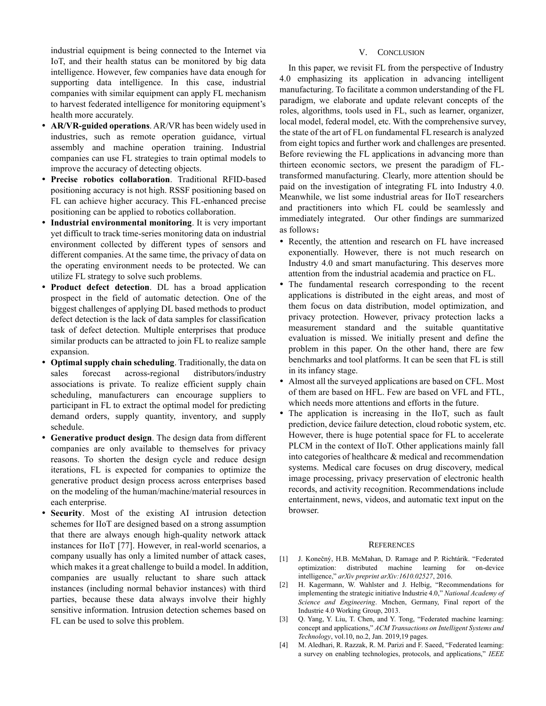industrial equipment is being connected to the Internet via IoT, and their health status can be monitored by big data intelligence. However, few companies have data enough for supporting data intelligence. In this case, industrial companies with similar equipment can apply FL mechanism to harvest federated intelligence for monitoring equipment's health more accurately.

- **AR/VR-guided operations**. AR/VR has been widely used in industries, such as remote operation guidance, virtual assembly and machine operation training. Industrial companies can use FL strategies to train optimal models to improve the accuracy of detecting objects.
- **Precise robotics collaboration**. Traditional RFID-based positioning accuracy is not high. RSSF positioning based on FL can achieve higher accuracy. This FL-enhanced precise positioning can be applied to robotics collaboration.
- **Industrial environmental monitoring**. It is very important yet difficult to track time-series monitoring data on industrial environment collected by different types of sensors and different companies. At the same time, the privacy of data on the operating environment needs to be protected. We can utilize FL strategy to solve such problems.
- **Product defect detection**. DL has a broad application prospect in the field of automatic detection. One of the biggest challenges of applying DL based methods to product defect detection is the lack of data samples for classification task of defect detection. Multiple enterprises that produce similar products can be attracted to join FL to realize sample expansion.
- **Optimal supply chain scheduling**. Traditionally, the data on sales forecast across-regional distributors/industry associations is private. To realize efficient supply chain scheduling, manufacturers can encourage suppliers to participant in FL to extract the optimal model for predicting demand orders, supply quantity, inventory, and supply schedule.
- **Generative product design**. The design data from different companies are only available to themselves for privacy reasons. To shorten the design cycle and reduce design iterations, FL is expected for companies to optimize the generative product design process across enterprises based on the modeling of the human/machine/material resources in each enterprise.
- **Security**. Most of the existing AI intrusion detection schemes for IIoT are designed based on a strong assumption that there are always enough high-quality network attack instances for IIoT [\[77\].](#page-11-26) However, in real-world scenarios, a company usually has only a limited number of attack cases, which makes it a great challenge to build a model. In addition, companies are usually reluctant to share such attack instances (including normal behavior instances) with third parties, because these data always involve their highly sensitive information. Intrusion detection schemes based on FL can be used to solve this problem.

# V. CONCLUSION

In this paper, we revisit FL from the perspective of Industry 4.0 emphasizing its application in advancing intelligent manufacturing. To facilitate a common understanding of the FL paradigm, we elaborate and update relevant concepts of the roles, algorithms, tools used in FL, such as learner, organizer, local model, federal model, etc. With the comprehensive survey, the state of the art of FL on fundamental FL research is analyzed from eight topics and further work and challenges are presented. Before reviewing the FL applications in advancing more than thirteen economic sectors, we present the paradigm of FLtransformed manufacturing. Clearly, more attention should be paid on the investigation of integrating FL into Industry 4.0. Meanwhile, we list some industrial areas for IIoT researchers and practitioners into which FL could be seamlessly and immediately integrated. Our other findings are summarized as follows:

- Recently, the attention and research on FL have increased exponentially. However, there is not much research on Industry 4.0 and smart manufacturing. This deserves more attention from the industrial academia and practice on FL.
- The fundamental research corresponding to the recent applications is distributed in the eight areas, and most of them focus on data distribution, model optimization, and privacy protection. However, privacy protection lacks a measurement standard and the suitable quantitative evaluation is missed. We initially present and define the problem in this paper. On the other hand, there are few benchmarks and tool platforms. It can be seen that FL is still in its infancy stage.
- Almost all the surveyed applications are based on CFL. Most of them are based on HFL. Few are based on VFL and FTL, which needs more attentions and efforts in the future.
- The application is increasing in the IIoT, such as fault prediction, device failure detection, cloud robotic system, etc. However, there is huge potential space for FL to accelerate PLCM in the context of IIoT. Other applications mainly fall into categories of healthcare & medical and recommendation systems. Medical care focuses on drug discovery, medical image processing, privacy preservation of electronic health records, and activity recognition. Recommendations include entertainment, news, videos, and automatic text input on the browser.

#### **REFERENCES**

- <span id="page-9-0"></span>[1] J. Konečný, H.B. McMahan, D. Ramage and P. Richtárik. "Federated optimization: distributed machine learning for on-device intelligence," *arXiv preprint arXiv:1610.02527*, 2016.
- <span id="page-9-1"></span>[2] H. Kagermann, W. Wahlster and J. Helbig, "Recommendations for implementing the strategic initiative Industrie 4.0," *National Academy of Science and Engineering*. Mnchen, Germany, Final report of the Industrie 4.0 Working Group, 2013.
- <span id="page-9-2"></span>[3] Q. Yang, Y. Liu, T. Chen, and Y. Tong, "Federated machine learning: concept and applications," *ACM Transactions on Intelligent Systems and Technology*, vol.10, no.2, Jan. 2019,19 pages.
- <span id="page-9-3"></span>[4] M. Aledhari, R. Razzak, R. M. Parizi and F. Saeed, "Federated learning: a survey on enabling technologies, protocols, and applications," *IEEE*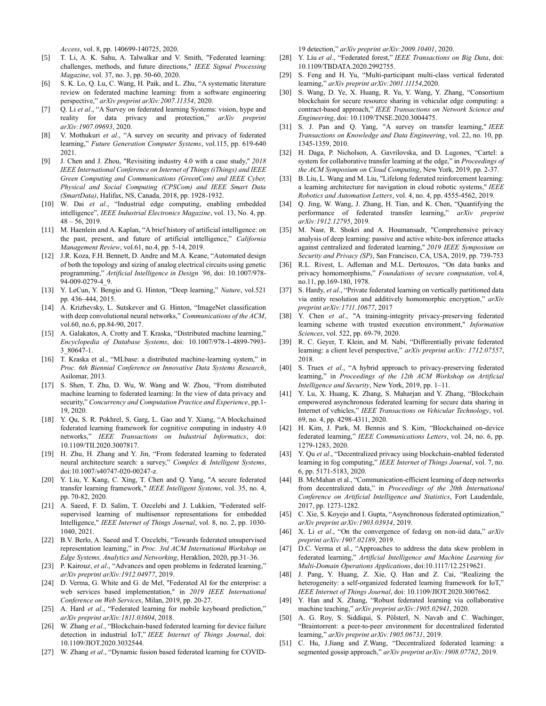*Access*, vol. 8, pp. 140699-140725, 2020.

- <span id="page-10-0"></span>[5] T. Li, A. K. Sahu, A. Talwalkar and V. Smith, "Federated learning: challenges, methods, and future directions," *IEEE Signal Processing Magazine*, vol. 37, no. 3, pp. 50-60, 2020.
- <span id="page-10-1"></span>[6] S. K. Lo, Q. Lu, C. Wang, H. Paik, and L. Zhu, "A systematic literature review on federated machine learning: from a software engineering perspective," *arXiv preprint arXiv:2007.11354*, 2020.
- <span id="page-10-2"></span>[7] Q. Li *et al*., "A Survey on federated learning Systems: vision, hype and reality for data privacy and protection," *arXiv preprint arXiv:1907.09693*, 2020.
- <span id="page-10-3"></span>[8] V. Mothukuri *et al*., "A survey on security and privacy of federated learning," *Future Generation Computer Systems*, vol.115, pp. 619-640 2021.
- <span id="page-10-4"></span>[9] J. Chen and J. Zhou, "Revisiting industry 4.0 with a case study," *2018 IEEE International Conference on Internet of Things (iThings) and IEEE Green Computing and Communications (GreenCom) and IEEE Cyber, Physical and Social Computing (CPSCom) and IEEE Smart Data (SmartData)*, Halifax, NS, Canada, 2018, pp. 1928-1932.
- <span id="page-10-5"></span>[10] W. Dai *et al*., "Industrial edge computing, enabling embedded intelligence", *IEEE Industrial Electronics Magazine*, vol. 13, No. 4, pp.  $48 - 56, 2019.$
- <span id="page-10-6"></span>[11] M. Haenlein and A. Kaplan, "A brief history of artificial intelligence: on the past, present, and future of artificial intelligence," *California Management Review*, vol.61, no.4, pp. 5-14, 2019.
- <span id="page-10-7"></span>[12] J.R. Koza, F.H. Bennett, D. Andre and M.A. Keane, "Automated design of both the topology and sizing of analog electrical circuits using genetic programming," *Artificial Intelligence in Design '96*, doi: 10.1007/978- 94-009-0279-4\_9.
- <span id="page-10-8"></span>[13] Y. LeCun, Y. Bengio and G. Hinton, "Deep learning," *Nature*, vol.521 pp. 436–444, 2015.
- <span id="page-10-9"></span>[14] A. Krizhevsky, L. Sutskever and G. Hinton, "ImageNet classification with deep convolutional neural networks," *Communications of the ACM*, vol.60, no.6, pp.84-90, 2017.
- <span id="page-10-10"></span>[15] A. Galakatos, A. Crotty and T. Kraska, "Distributed machine learning," *Encyclopedia of Database Systems*, doi: 10.1007/978-1-4899-7993- 3\_80647-1.
- <span id="page-10-11"></span>[16] T. Kraska et al., "MLbase: a distributed machine-learning system," in *Proc. 6th Biennial Conference on Innovative Data Systems Research*, Asilomar, 2013.
- <span id="page-10-12"></span>[17] S. Shen, T. Zhu, D. Wu, W. Wang and W. Zhou, "From distributed machine learning to federated learning: In the view of data privacy and security," *Concurrency and Computation Practice and Experience*, pp.1- 19, 2020.
- <span id="page-10-17"></span>[18] Y. Qu, S. R. Pokhrel, S. Garg, L. Gao and Y. Xiang, "A blockchained federated learning framework for cognitive computing in industry 4.0 networks," *IEEE Transactions on Industrial Informatics*, doi: 10.1109/TII.2020.3007817.
- <span id="page-10-13"></span>[19] H. Zhu, H. Zhang and Y. Jin, "From federated learning to federated neural architecture search: a survey," *Complex & Intelligent Systems*, doi:10.1007/s40747-020-00247-z.
- <span id="page-10-14"></span>[20] Y. Liu, Y. Kang, C. Xing, T. Chen and Q. Yang, "A secure federated transfer learning framework," *IEEE Intelligent Systems*, vol. 35, no. 4, pp. 70-82, 2020.
- <span id="page-10-15"></span>[21] A. Saeed, F. D. Salim, T. Ozcelebi and J. Lukkien, "Federated selfsupervised learning of multisensor representations for embedded Intelligence," *IEEE Internet of Things Journal*, vol. 8, no. 2, pp. 1030- 1040, 2021.
- <span id="page-10-16"></span>[22] B.V. Berlo, A. Saeed and T. Ozcelebi, "Towards federated unsupervised representation learning," in *Proc. 3rd ACM International Workshop on Edge Systems, Analytics and Networking*, Heraklion, 2020, pp.31–36.
- <span id="page-10-18"></span>[23] P. Kairouz, et al., "Advances and open problems in federated learning," *arXiv preprint arXiv:1912.04977*, 2019.
- <span id="page-10-19"></span>[24] D. Verma, G. White and G. de Mel, "Federated AI for the enterprise: a web services based implementation," in *2019 IEEE International Conference on Web Services*, Milan, 2019, pp. 20-27.
- <span id="page-10-20"></span>[25] A. Hard *et al.*, "Federated learning for mobile keyboard prediction," *arXiv preprint arXiv:1811.03604*, 2018.
- <span id="page-10-21"></span>[26] W. Zhang *et al.*, "Blockchain-based federated learning for device failure detection in industrial IoT," *IEEE Internet of Things Journal*, doi: 10.1109/JIOT.2020.3032544.
- <span id="page-10-22"></span>[27] W. Zhang *et al*., "Dynamic fusion based federated learning for COVID-

19 detection," *arXiv preprint arXiv:2009.10401*, 2020.

- <span id="page-10-23"></span>[28] Y. Liu *et al*., "Federated forest," *IEEE Transactions on Big Data*, doi: 10.1109/TBDATA.2020.2992755.
- <span id="page-10-24"></span>[29] S. Feng and H. Yu, "Multi-participant multi-class vertical federated learning," *arXiv preprint arXiv:2001.11154*,2020.
- <span id="page-10-25"></span>[30] S. Wang, D. Ye, X. Huang, R. Yu, Y. Wang, Y. Zhang, "Consortium blockchain for secure resource sharing in vehicular edge computing: a contract-based approach," *IEEE Transactions on Network Science and Engineering*, doi: 10.1109/TNSE.2020.3004475.
- <span id="page-10-26"></span>[31] S. J. Pan and Q. Yang, "A survey on transfer learning," *IEEE Transactions on Knowledge and Data Engineering*, vol. 22, no. 10, pp. 1345-1359, 2010.
- <span id="page-10-27"></span>[32] H. Daga, P. Nicholson, A. Gavrilovska, and D. Lugones, "Cartel: a system for collaborative transfer learning at the edge," in *Proceedings of the ACM Symposium on Cloud Computing*, New York, 2019, pp. 2-37.
- <span id="page-10-28"></span>[33] B. Liu, L. Wang and M. Liu, "Lifelong federated reinforcement learning: a learning architecture for navigation in cloud robotic systems," *IEEE Robotics and Automation Letters*, vol. 4, no. 4, pp. 4555-4562, 2019.
- <span id="page-10-29"></span>[34] Q. Jing, W. Wang, J. Zhang, H. Tian, and K. Chen, "Quantifying the performance of federated transfer learning," *arXiv preprint arXiv:1912.12795*, 2019.
- <span id="page-10-30"></span>[35] M. Nasr, R. Shokri and A. Houmansadr, "Comprehensive privacy analysis of deep learning: passive and active white-box inference attacks against centralized and federated learning," *2019 IEEE Symposium on Security and Privacy (SP)*, San Francisco, CA, USA, 2019, pp. 739-753
- <span id="page-10-31"></span>[36] R.L. Rivest, L. Adleman and M.L. Dertouzos, "On data banks and privacy homomorphisms," *Foundations of secure computation*, vol.4, no.11, pp.169-180, 1978.
- <span id="page-10-32"></span>[37] S. Hardy, *et al*., "Private federated learning on vertically partitioned data via entity resolution and additively homomorphic encryption," *arXiv preprint arXiv:1711.10677*, 2017
- <span id="page-10-33"></span>[38] Y. Chen *et al*., "A training-integrity privacy-preserving federated learning scheme with trusted execution environment," *Information Sciences*, vol. 522, pp. 69-79, 2020.
- <span id="page-10-34"></span>[39] R. C. Geyer, T. Klein, and M. Nabi, "Differentially private federated learning: a client level perspective," *arXiv preprint arXiv: 1712.07557*, 2018.
- <span id="page-10-35"></span>[40] S. Truex *et al*., "A hybrid approach to privacy-preserving federated learning," in *Proceedings of the 12th ACM Workshop on Artificial Intelligence and Security*, New York, 2019, pp. 1–11.
- <span id="page-10-36"></span>[41] Y. Lu, X. Huang, K. Zhang, S. Maharjan and Y. Zhang, "Blockchain empowered asynchronous federated learning for secure data sharing in Internet of vehicles," *IEEE Transactions on Vehicular Technology*, vol. 69, no. 4, pp. 4298-4311, 2020.
- <span id="page-10-37"></span>[42] H. Kim, J. Park, M. Bennis and S. Kim, "Blockchained on-device federated learning," *IEEE Communications Letters*, vol. 24, no. 6, pp. 1279-1283, 2020.
- <span id="page-10-38"></span>[43] Y. Qu et al., "Decentralized privacy using blockchain-enabled federated learning in fog computing," *IEEE Internet of Things Journal*, vol. 7, no. 6, pp. 5171-5183, 2020.
- <span id="page-10-39"></span>[44] B. McMahan et al., "Communication-efficient learning of deep networks from decentralized data," in *Proceedings of the 20th International Conference on Artificial Intelligence and Statistics*, Fort Lauderdale, 2017, pp. 1273-1282.
- <span id="page-10-40"></span>[45] C. Xie, S. Koyejo and I. Gupta, "Asynchronous federated optimization," *arXiv preprint arXiv:1903.03934*, 2019.
- <span id="page-10-41"></span>[46] X. Li et al., "On the convergence of fedavg on non-iid data," arXiv *preprint arXiv:1907.02189*, 2019.
- <span id="page-10-42"></span>[47] D.C. Verma et al., "Approaches to address the data skew problem in federated learning," *Artificial Intelligence and Machine Learning for Multi-Domain Operations Applications*, doi:10.1117/12.2519621.
- <span id="page-10-43"></span>[48] J. Pang, Y. Huang, Z. Xie, Q. Han and Z. Cai, "Realizing the heterogeneity: a self-organized federated learning framework for IoT," *IEEE Internet of Things Journal*, doi: 10.1109/JIOT.2020.3007662.
- <span id="page-10-44"></span>[49] Y. Han and X. Zhang, "Robust federated learning via collaborative machine teaching," *arXiv preprint arXiv:1905.02941*, 2020.
- <span id="page-10-45"></span>[50] A. G. Roy, S. Siddiqui, S. Pölsterl, N. Navab and C. Wachinger, "Braintorrent: a peer-to-peer environment for decentralized federated learning," *arXiv preprint arXiv:1905.06731*, 2019.
- <span id="page-10-46"></span>[51] C. Hu, J.Jiang and Z.Wang, "Decentralized federated learning: a segmented gossip approach," *arXiv preprint arXiv:1908.07782*, 2019.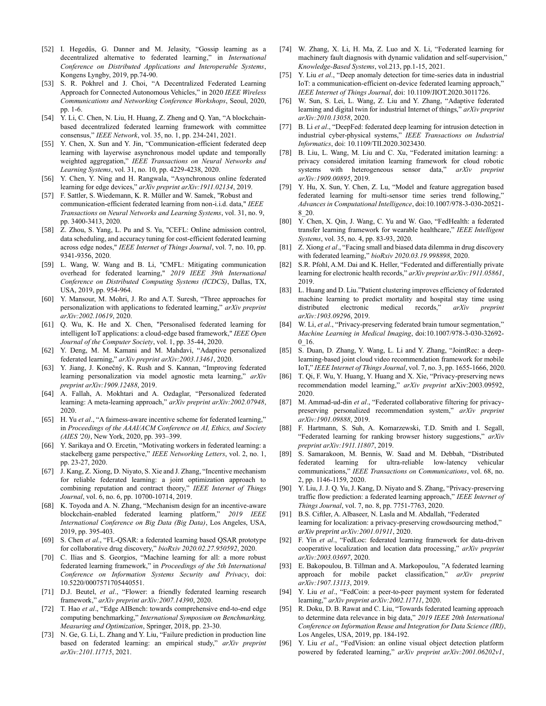- <span id="page-11-0"></span>[52] I. Hegedűs, G. Danner and M. Jelasity, "Gossip learning as a decentralized alternative to federated learning," in *International Conference on Distributed Applications and Interoperable Systems*, Kongens Lyngby, 2019, pp.74-90.
- <span id="page-11-1"></span>[53] S. R. Pokhrel and J. Choi, "A Decentralized Federated Learning Approach for Connected Autonomous Vehicles," in 2020 *IEEE Wireless Communications and Networking Conference Workshops*, Seoul, 2020, pp. 1-6.
- <span id="page-11-2"></span>[54] Y. Li, C. Chen, N. Liu, H. Huang, Z. Zheng and Q. Yan, "A blockchainbased decentralized federated learning framework with committee consensus," *IEEE Network*, vol. 35, no. 1, pp. 234-241, 2021.
- <span id="page-11-3"></span>[55] Y. Chen, X. Sun and Y. Jin, "Communication-efficient federated deep learning with layerwise asynchronous model update and temporally weighted aggregation," *IEEE Transactions on Neural Networks and Learning Systems*, vol. 31, no. 10, pp. 4229-4238, 2020.
- <span id="page-11-4"></span>[56] Y. Chen, Y. Ning and H. Rangwala, "Asynchronous online federated learning for edge devices," *arXiv preprint arXiv:1911.02134*, 2019.
- <span id="page-11-5"></span>[57] F. Sattler, S. Wiedemann, K. R. Müller and W. Samek, "Robust and communication-efficient federated learning from non-i.i.d. data," *IEEE Transactions on Neural Networks and Learning Systems*, vol. 31, no. 9, pp. 3400-3413, 2020.
- <span id="page-11-6"></span>[58] Z. Zhou, S. Yang, L. Pu and S. Yu, "CEFL: Online admission control, data scheduling, and accuracy tuning for cost-efficient federated learning across edge nodes," *IEEE Internet of Things Journal*, vol. 7, no. 10, pp. 9341-9356, 2020.
- <span id="page-11-7"></span>[59] L. Wang, W. Wang and B. Li, "CMFL: Mitigating communication overhead for federated learning," *2019 IEEE 39th International Conference on Distributed Computing Systems (ICDCS)*, Dallas, TX, USA, 2019, pp. 954-964.
- <span id="page-11-8"></span>[60] Y. Mansour, M. Mohri, J. Ro and A.T. Suresh, "Three approaches for personalization with applications to federated learning," *arXiv preprint arXiv:2002.10619*, 2020.
- <span id="page-11-9"></span>[61] Q. Wu, K. He and X. Chen, "Personalised federated learning for intelligent IoT applications: a cloud-edge based framework," *IEEE Open Journal of the Computer Society*, vol. 1, pp. 35-44, 2020.
- <span id="page-11-10"></span>[62] Y. Deng, M. M. Kamani and M. Mahdavi, "Adaptive personalized federated learning," *arXiv preprint arXiv:2003.13461*, 2020.
- <span id="page-11-11"></span>[63] Y. Jiang, J. Konečný, K. Rush and S. Kannan, "Improving federated learning personalization via model agnostic meta learning," *arXiv preprint arXiv:1909.12488*, 2019.
- <span id="page-11-12"></span>[64] A. Fallah, A. Mokhtari and A. Ozdaglar, "Personalized federated learning: A meta-learning approach," *arXiv preprint arXiv:2002.07948*, 2020.
- <span id="page-11-13"></span>[65] H. Yu *et al.*, "A fairness-aware incentive scheme for federated learning," in *Proceedings of the AAAI/ACM Conference on AI, Ethics, and Society (AIES '20)*, New York, 2020, pp. 393–399.
- <span id="page-11-14"></span>[66] Y. Sarikaya and O. Ercetin, "Motivating workers in federated learning: a stackelberg game perspective," *IEEE Networking Letters*, vol. 2, no. 1, pp. 23-27, 2020.
- <span id="page-11-15"></span>[67] J. Kang, Z. Xiong, D. Niyato, S. Xie and J. Zhang, "Incentive mechanism for reliable federated learning: a joint optimization approach to combining reputation and contract theory," *IEEE Internet of Things Journal*, vol. 6, no. 6, pp. 10700-10714, 2019.
- <span id="page-11-16"></span>[68] K. Toyoda and A. N. Zhang, "Mechanism design for an incentive-aware blockchain-enabled federated learning platform," *2019 IEEE International Conference on Big Data (Big Data)*, Los Angeles, USA, 2019, pp. 395-403.
- <span id="page-11-17"></span>[69] S. Chen *et al*., "FL-QSAR: a federated learning based QSAR prototype for collaborative drug discovery," *bioRxiv 2020.02.27.950592*, 2020.
- <span id="page-11-18"></span>[70] C. Ilias and S. Georgios, "Machine learning for all: a more robust federated learning framework," in *Proceedings of the 5th International Conference on Information Systems Security and Privacy*, doi: 10.5220/0007571705440551.
- <span id="page-11-19"></span>[71] D.J. Beutel, *et al*., "Flower: a friendly federated learning research framework," *arXiv preprint arXiv:2007.14390*, 2020.
- <span id="page-11-20"></span>[72] T. Hao *et al*., "Edge AIBench: towards comprehensive end-to-end edge computing benchmarking," *International Symposium on Benchmarking, Measuring and Optimization*, Springer, 2018, pp. 23-30.
- <span id="page-11-21"></span>[73] N. Ge, G. Li, L. Zhang and Y. Liu, "Failure prediction in production line based on federated learning: an empirical study," *arXiv preprint arXiv:2101.11715*, 2021.
- <span id="page-11-22"></span>[74] W. Zhang, X. Li, H. Ma, Z. Luo and X. Li, "Federated learning for machinery fault diagnosis with dynamic validation and self-supervision," *Knowledge-Based Systems*, vol.213, pp.1-15, 2021.
- <span id="page-11-23"></span>[75] Y. Liu *et al*., "Deep anomaly detection for time-series data in industrial IoT: a communication-efficient on-device federated learning approach," *IEEE Internet of Things Journal*, doi: 10.1109/JIOT.2020.3011726.
- <span id="page-11-25"></span>[76] W. Sun, S. Lei, L. Wang, Z. Liu and Y. Zhang, "Adaptive federated learning and digital twin for industrial Internet of things," *arXiv preprint arXiv:2010.13058*, 2020.
- <span id="page-11-26"></span>[77] B. Li *et al.*, "DeepFed: federated deep learning for intrusion detection in industrial cyber-physical systems," *IEEE Transactions on Industrial Informatics*, doi: 10.1109/TII.2020.3023430.
- <span id="page-11-27"></span>[78] B. Liu, L. Wang, M. Liu and C. Xu, "Federated imitation learning: a privacy considered imitation learning framework for cloud robotic systems with heterogeneous sensor data," *arXiv preprint arXiv:1909.00895*, 2019.
- <span id="page-11-24"></span>[79] Y. Hu, X. Sun, Y. Chen, Z. Lu, "Model and feature aggregation based federated learning for multi-sensor time series trend following," *Advances in Computational Intelligence*, doi:10.1007/978-3-030-20521- 8\_20.
- <span id="page-11-37"></span>[80] Y. Chen, X. Qin, J. Wang, C. Yu and W. Gao, "FedHealth: a federated transfer learning framework for wearable healthcare," *IEEE Intelligent Systems*, vol. 35, no. 4, pp. 83-93, 2020.
- <span id="page-11-35"></span>[81] Z. Xiong *et al*., "Facing small and biased data dilemma in drug discovery with federated learning," *bioRxiv 2020.03.19.998898*, 2020.
- <span id="page-11-36"></span>[82] S.R. Pfohl, A.M. Dai and K. Heller, "Federated and differentially private learning for electronic health records," *arXiv preprint arXiv:1911.05861*, 2019.
- <span id="page-11-38"></span>[83] L. Huang and D. Liu."Patient clustering improves efficiency of federated machine learning to predict mortality and hospital stay time using distributed electronic medical records," *arXiv preprint arXiv:1903.09296*, 2019.
- <span id="page-11-34"></span>[84] W. Li, *et al.*, "Privacy-preserving federated brain tumour segmentation," *Machine Learning in Medical Imaging*, doi:10.1007/978-3-030-32692- 0\_16.
- <span id="page-11-30"></span>[85] S. Duan, D. Zhang, Y. Wang, L. Li and Y. Zhang, "JointRec: a deeplearning-based joint cloud video recommendation framework for mobile IoT," *IEEE Internet of Things Journal*, vol. 7, no. 3, pp. 1655-1666, 2020.
- <span id="page-11-31"></span>[86] T. Qi, F. Wu, Y. Huang, Y. Huang and X. Xie, "Privacy-preserving news recommendation model learning," *arXiv preprint* arXiv:2003.09592, 2020.
- <span id="page-11-28"></span>[87] M. Ammad-ud-din *et al.*, "Federated collaborative filtering for privacypreserving personalized recommendation system," *arXiv preprint arXiv:1901.09888*, 2019.
- <span id="page-11-29"></span>[88] F. Hartmann, S. Suh, A. Komarzewski, T.D. Smith and I. Segall, "Federated learning for ranking browser history suggestions," *arXiv preprint arXiv:1911.11807*, 2019.
- <span id="page-11-42"></span>[89] S. Samarakoon, M. Bennis, W. Saad and M. Debbah, "Distributed federated learning for ultra-reliable low-latency vehicular communications," *IEEE Transactions on Communications*, vol. 68, no. 2, pp. 1146-1159, 2020.
- <span id="page-11-43"></span>[90] Y. Liu, J. J. Q. Yu, J. Kang, D. Niyato and S. Zhang, "Privacy-preserving traffic flow prediction: a federated learning approach," *IEEE Internet of Things Journal*, vol. 7, no. 8, pp. 7751-7763, 2020.
- <span id="page-11-39"></span>[91] B.S. Ciftler, A. Albaseer, N. Lasla and M. Abdallah, "Federated learning for localization: a privacy-preserving crowdsourcing method," *arXiv preprint arXiv:2001.01911*, 2020.
- <span id="page-11-40"></span>[92] F. Yin *et al*., "FedLoc: federated learning framework for data-driven cooperative localization and location data processing," *arXiv preprint arXiv:2003.03697*, 2020.
- <span id="page-11-44"></span>[93] E. Bakopoulou, B. Tillman and A. Markopoulou, "A federated learning approach for mobile packet classification," *arXiv preprint arXiv:1907.13113*, 2019.
- <span id="page-11-33"></span>[94] Y. Liu *et al*., "FedCoin: a peer-to-peer payment system for federated learning," *arXiv preprint arXiv:2002.11711*, 2020.
- <span id="page-11-32"></span>[95] R. Doku, D. B. Rawat and C. Liu, "Towards federated learning approach to determine data relevance in big data," *2019 IEEE 20th International Conference on Information Reuse and Integration for Data Science (IRI)*, Los Angeles, USA, 2019, pp. 184-192.
- <span id="page-11-41"></span>[96] Y. Liu *et al*., "FedVision: an online visual object detection platform powered by federated learning," *arXiv preprint arXiv:2001.06202v1*,